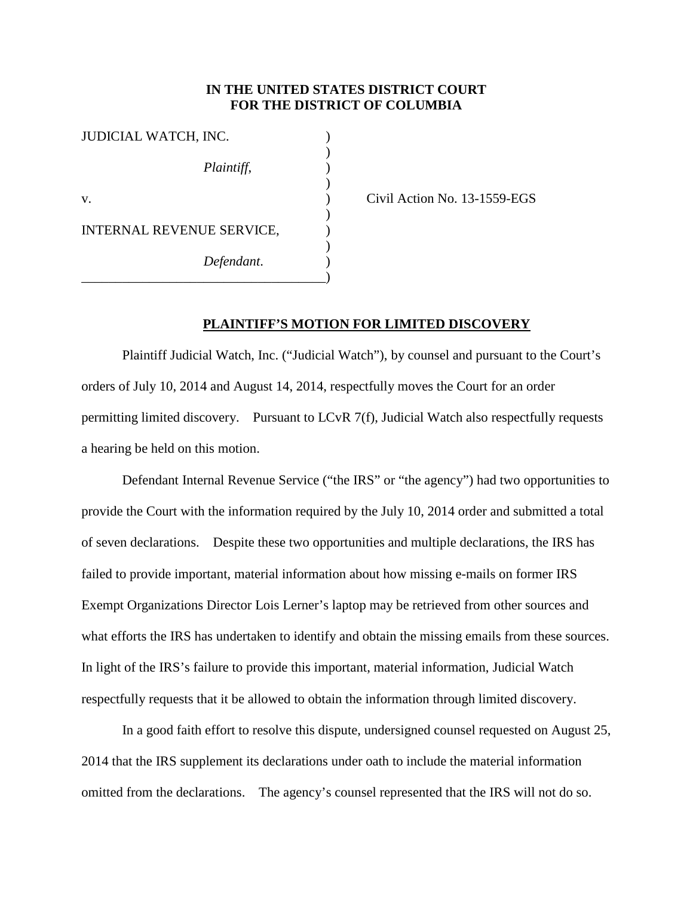## **IN THE UNITED STATES DISTRICT COURT FOR THE DISTRICT OF COLUMBIA**

)

)

| JUDICIAL WATCH, INC.      |  |
|---------------------------|--|
| Plaintiff,                |  |
| V.                        |  |
| INTERNAL REVENUE SERVICE, |  |
| Defendant.                |  |

) Civil Action No. 13-1559-EGS

## **PLAINTIFF'S MOTION FOR LIMITED DISCOVERY**

Plaintiff Judicial Watch, Inc. ("Judicial Watch"), by counsel and pursuant to the Court's orders of July 10, 2014 and August 14, 2014, respectfully moves the Court for an order permitting limited discovery. Pursuant to LCvR 7(f), Judicial Watch also respectfully requests a hearing be held on this motion.

Defendant Internal Revenue Service ("the IRS" or "the agency") had two opportunities to provide the Court with the information required by the July 10, 2014 order and submitted a total of seven declarations. Despite these two opportunities and multiple declarations, the IRS has failed to provide important, material information about how missing e-mails on former IRS Exempt Organizations Director Lois Lerner's laptop may be retrieved from other sources and what efforts the IRS has undertaken to identify and obtain the missing emails from these sources. In light of the IRS's failure to provide this important, material information, Judicial Watch respectfully requests that it be allowed to obtain the information through limited discovery.

In a good faith effort to resolve this dispute, undersigned counsel requested on August 25, 2014 that the IRS supplement its declarations under oath to include the material information omitted from the declarations. The agency's counsel represented that the IRS will not do so.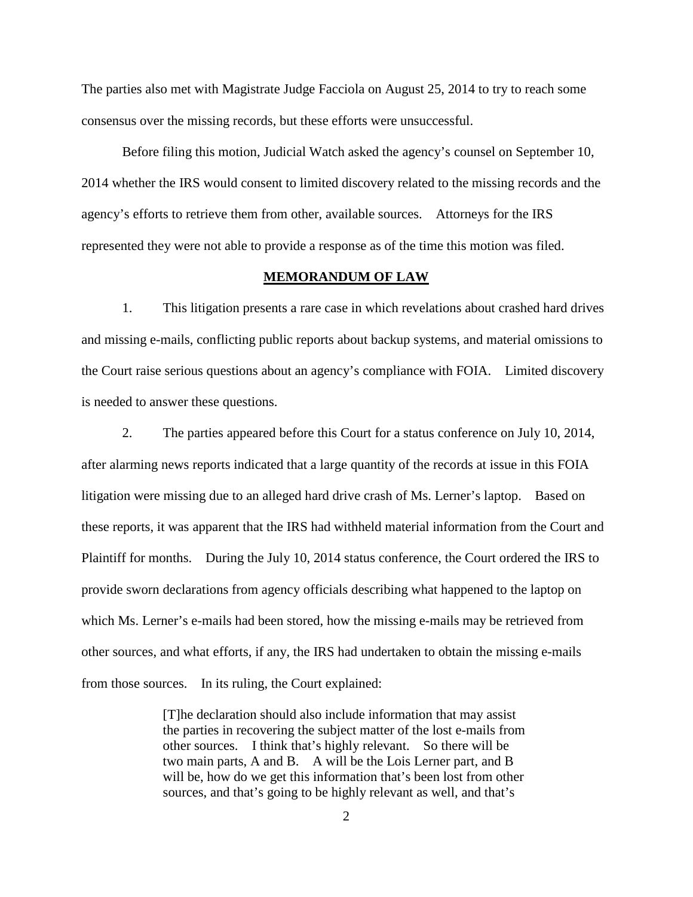The parties also met with Magistrate Judge Facciola on August 25, 2014 to try to reach some consensus over the missing records, but these efforts were unsuccessful.

Before filing this motion, Judicial Watch asked the agency's counsel on September 10, 2014 whether the IRS would consent to limited discovery related to the missing records and the agency's efforts to retrieve them from other, available sources. Attorneys for the IRS represented they were not able to provide a response as of the time this motion was filed.

## **MEMORANDUM OF LAW**

1. This litigation presents a rare case in which revelations about crashed hard drives and missing e-mails, conflicting public reports about backup systems, and material omissions to the Court raise serious questions about an agency's compliance with FOIA. Limited discovery is needed to answer these questions.

2. The parties appeared before this Court for a status conference on July 10, 2014, after alarming news reports indicated that a large quantity of the records at issue in this FOIA litigation were missing due to an alleged hard drive crash of Ms. Lerner's laptop. Based on these reports, it was apparent that the IRS had withheld material information from the Court and Plaintiff for months. During the July 10, 2014 status conference, the Court ordered the IRS to provide sworn declarations from agency officials describing what happened to the laptop on which Ms. Lerner's e-mails had been stored, how the missing e-mails may be retrieved from other sources, and what efforts, if any, the IRS had undertaken to obtain the missing e-mails from those sources. In its ruling, the Court explained:

> [T]he declaration should also include information that may assist the parties in recovering the subject matter of the lost e-mails from other sources. I think that's highly relevant. So there will be two main parts, A and B. A will be the Lois Lerner part, and B will be, how do we get this information that's been lost from other sources, and that's going to be highly relevant as well, and that's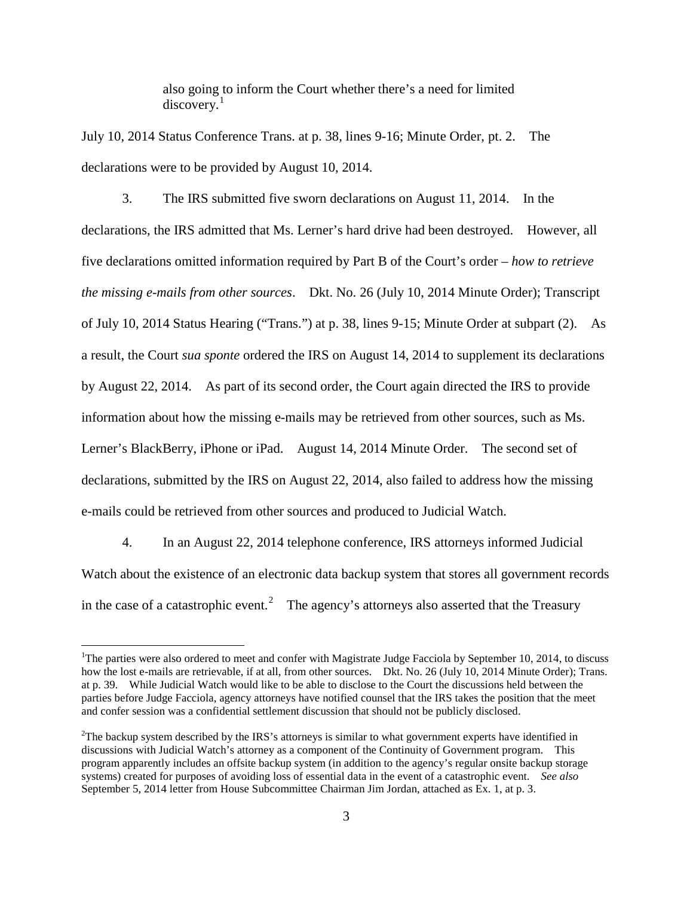also going to inform the Court whether there's a need for limited discovery. [1](#page-2-0)

July 10, 2014 Status Conference Trans. at p. 38, lines 9-16; Minute Order, pt. 2. The declarations were to be provided by August 10, 2014.

3. The IRS submitted five sworn declarations on August 11, 2014. In the declarations, the IRS admitted that Ms. Lerner's hard drive had been destroyed. However, all five declarations omitted information required by Part B of the Court's order – *how to retrieve the missing e-mails from other sources*. Dkt. No. 26 (July 10, 2014 Minute Order); Transcript of July 10, 2014 Status Hearing ("Trans.") at p. 38, lines 9-15; Minute Order at subpart (2). As a result, the Court *sua sponte* ordered the IRS on August 14, 2014 to supplement its declarations by August 22, 2014. As part of its second order, the Court again directed the IRS to provide information about how the missing e-mails may be retrieved from other sources, such as Ms. Lerner's BlackBerry, iPhone or iPad. August 14, 2014 Minute Order. The second set of declarations, submitted by the IRS on August 22, 2014, also failed to address how the missing e-mails could be retrieved from other sources and produced to Judicial Watch.

4. In an August 22, 2014 telephone conference, IRS attorneys informed Judicial Watch about the existence of an electronic data backup system that stores all government records in the case of a catastrophic event.<sup>[2](#page-2-1)</sup> The agency's attorneys also asserted that the Treasury

<span id="page-2-0"></span><sup>&</sup>lt;sup>1</sup>The parties were also ordered to meet and confer with Magistrate Judge Facciola by September 10, 2014, to discuss how the lost e-mails are retrievable, if at all, from other sources. Dkt. No. 26 (July 10, 2014 Minute Order); Trans. at p. 39. While Judicial Watch would like to be able to disclose to the Court the discussions held between the parties before Judge Facciola, agency attorneys have notified counsel that the IRS takes the position that the meet and confer session was a confidential settlement discussion that should not be publicly disclosed.

<span id="page-2-1"></span> $2^2$ The backup system described by the IRS's attorneys is similar to what government experts have identified in discussions with Judicial Watch's attorney as a component of the Continuity of Government program. This program apparently includes an offsite backup system (in addition to the agency's regular onsite backup storage systems) created for purposes of avoiding loss of essential data in the event of a catastrophic event. *See also* September 5, 2014 letter from House Subcommittee Chairman Jim Jordan, attached as Ex. 1, at p. 3.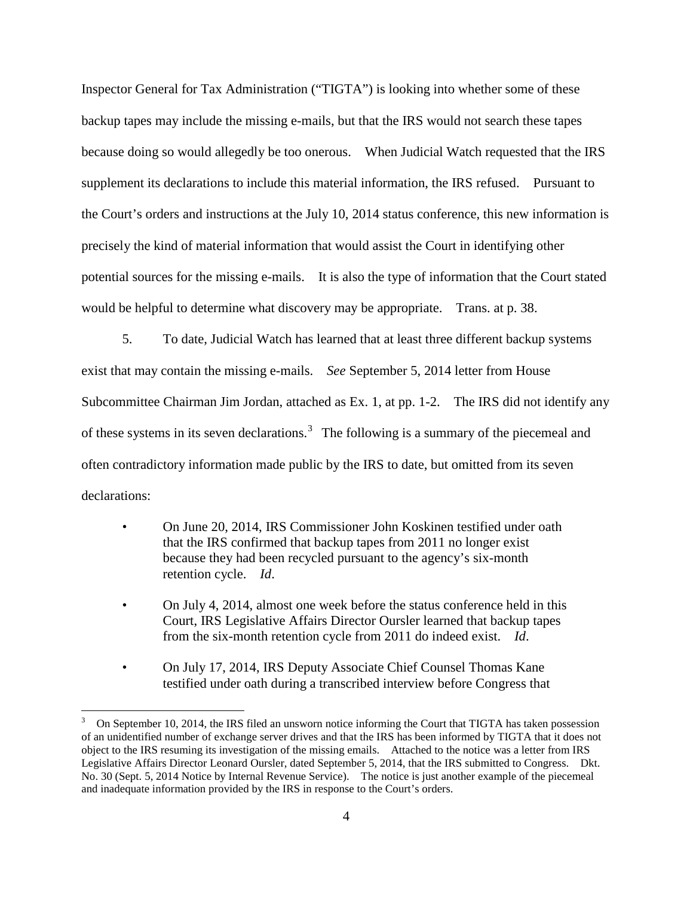Inspector General for Tax Administration ("TIGTA") is looking into whether some of these backup tapes may include the missing e-mails, but that the IRS would not search these tapes because doing so would allegedly be too onerous. When Judicial Watch requested that the IRS supplement its declarations to include this material information, the IRS refused. Pursuant to the Court's orders and instructions at the July 10, 2014 status conference, this new information is precisely the kind of material information that would assist the Court in identifying other potential sources for the missing e-mails. It is also the type of information that the Court stated would be helpful to determine what discovery may be appropriate. Trans. at p. 38.

5. To date, Judicial Watch has learned that at least three different backup systems exist that may contain the missing e-mails. *See* September 5, 2014 letter from House Subcommittee Chairman Jim Jordan, attached as Ex. 1, at pp. 1-2. The IRS did not identify any of these systems in its seven declarations.<sup>[3](#page-3-0)</sup> The following is a summary of the piecemeal and often contradictory information made public by the IRS to date, but omitted from its seven declarations:

- On June 20, 2014, IRS Commissioner John Koskinen testified under oath that the IRS confirmed that backup tapes from 2011 no longer exist because they had been recycled pursuant to the agency's six-month retention cycle. *Id*.
- On July 4, 2014, almost one week before the status conference held in this Court, IRS Legislative Affairs Director Oursler learned that backup tapes from the six-month retention cycle from 2011 do indeed exist. *Id*.
- On July 17, 2014, IRS Deputy Associate Chief Counsel Thomas Kane testified under oath during a transcribed interview before Congress that

<span id="page-3-0"></span><sup>3</sup> On September 10, 2014, the IRS filed an unsworn notice informing the Court that TIGTA has taken possession of an unidentified number of exchange server drives and that the IRS has been informed by TIGTA that it does not object to the IRS resuming its investigation of the missing emails. Attached to the notice was a letter from IRS Legislative Affairs Director Leonard Oursler, dated September 5, 2014, that the IRS submitted to Congress. Dkt. No. 30 (Sept. 5, 2014 Notice by Internal Revenue Service). The notice is just another example of the piecemeal and inadequate information provided by the IRS in response to the Court's orders.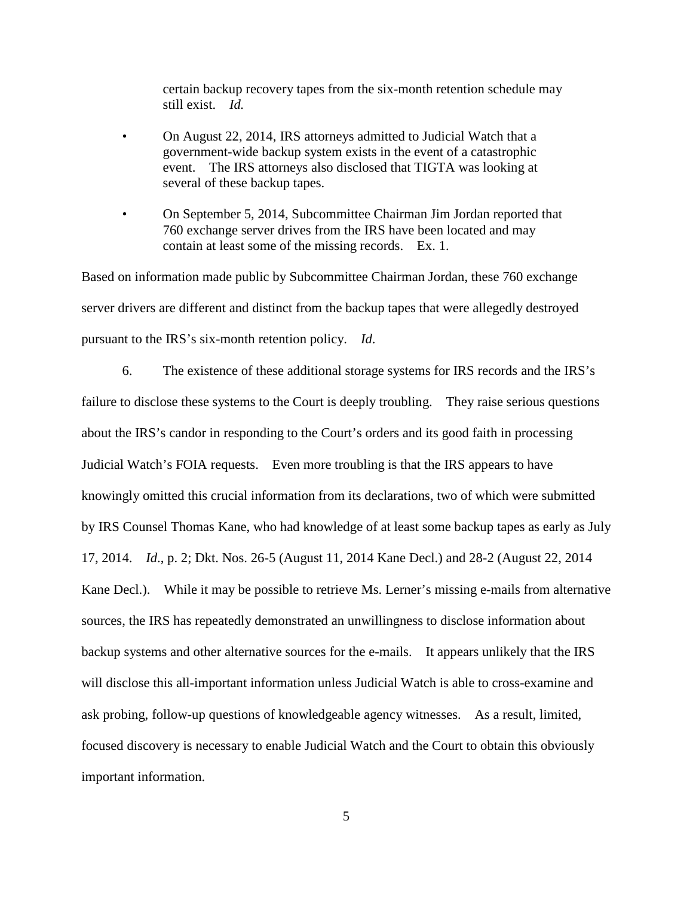certain backup recovery tapes from the six-month retention schedule may still exist. *Id.*

- On August 22, 2014, IRS attorneys admitted to Judicial Watch that a government-wide backup system exists in the event of a catastrophic event. The IRS attorneys also disclosed that TIGTA was looking at several of these backup tapes.
- On September 5, 2014, Subcommittee Chairman Jim Jordan reported that 760 exchange server drives from the IRS have been located and may contain at least some of the missing records. Ex. 1.

Based on information made public by Subcommittee Chairman Jordan, these 760 exchange server drivers are different and distinct from the backup tapes that were allegedly destroyed pursuant to the IRS's six-month retention policy. *Id*.

6. The existence of these additional storage systems for IRS records and the IRS's failure to disclose these systems to the Court is deeply troubling. They raise serious questions about the IRS's candor in responding to the Court's orders and its good faith in processing Judicial Watch's FOIA requests. Even more troubling is that the IRS appears to have knowingly omitted this crucial information from its declarations, two of which were submitted by IRS Counsel Thomas Kane, who had knowledge of at least some backup tapes as early as July 17, 2014. *Id*., p. 2; Dkt. Nos. 26-5 (August 11, 2014 Kane Decl.) and 28-2 (August 22, 2014 Kane Decl.). While it may be possible to retrieve Ms. Lerner's missing e-mails from alternative sources, the IRS has repeatedly demonstrated an unwillingness to disclose information about backup systems and other alternative sources for the e-mails. It appears unlikely that the IRS will disclose this all-important information unless Judicial Watch is able to cross-examine and ask probing, follow-up questions of knowledgeable agency witnesses. As a result, limited, focused discovery is necessary to enable Judicial Watch and the Court to obtain this obviously important information.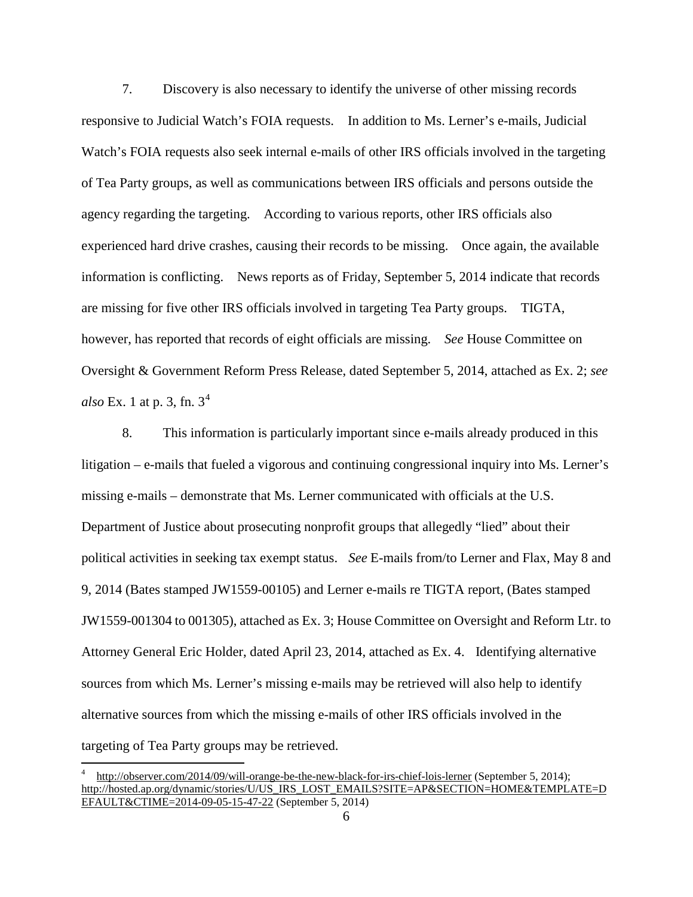7. Discovery is also necessary to identify the universe of other missing records responsive to Judicial Watch's FOIA requests. In addition to Ms. Lerner's e-mails, Judicial Watch's FOIA requests also seek internal e-mails of other IRS officials involved in the targeting of Tea Party groups, as well as communications between IRS officials and persons outside the agency regarding the targeting. According to various reports, other IRS officials also experienced hard drive crashes, causing their records to be missing. Once again, the available information is conflicting. News reports as of Friday, September 5, 2014 indicate that records are missing for five other IRS officials involved in targeting Tea Party groups. TIGTA, however, has reported that records of eight officials are missing. *See* House Committee on Oversight & Government Reform Press Release, dated September 5, 2014, attached as Ex. 2; *see also* Ex. 1 at p. 3, fn.  $3^4$  $3^4$ 

8. This information is particularly important since e-mails already produced in this litigation – e-mails that fueled a vigorous and continuing congressional inquiry into Ms. Lerner's missing e-mails – demonstrate that Ms. Lerner communicated with officials at the U.S. Department of Justice about prosecuting nonprofit groups that allegedly "lied" about their political activities in seeking tax exempt status. *See* E-mails from/to Lerner and Flax, May 8 and 9, 2014 (Bates stamped JW1559-00105) and Lerner e-mails re TIGTA report, (Bates stamped JW1559-001304 to 001305), attached as Ex. 3; House Committee on Oversight and Reform Ltr. to Attorney General Eric Holder, dated April 23, 2014, attached as Ex. 4. Identifying alternative sources from which Ms. Lerner's missing e-mails may be retrieved will also help to identify alternative sources from which the missing e-mails of other IRS officials involved in the targeting of Tea Party groups may be retrieved.

<span id="page-5-0"></span><sup>4</sup> <http://observer.com/2014/09/will-orange-be-the-new-black-for-irs-chief-lois-lerner> (September 5, 2014); [http://hosted.ap.org/dynamic/stories/U/US\\_IRS\\_LOST\\_EMAILS?SITE=AP&SECTION=HOME&TEMPLATE=D](http://hosted.ap.org/dynamic/stories/U/US_IRS_LOST_EMAILS?SITE=AP&SECTION=HOME&TEMPLATE=DEFAULT&CTIME=2014-09-05-15-47-22) [EFAULT&CTIME=2014-09-05-15-47-22](http://hosted.ap.org/dynamic/stories/U/US_IRS_LOST_EMAILS?SITE=AP&SECTION=HOME&TEMPLATE=DEFAULT&CTIME=2014-09-05-15-47-22) (September 5, 2014)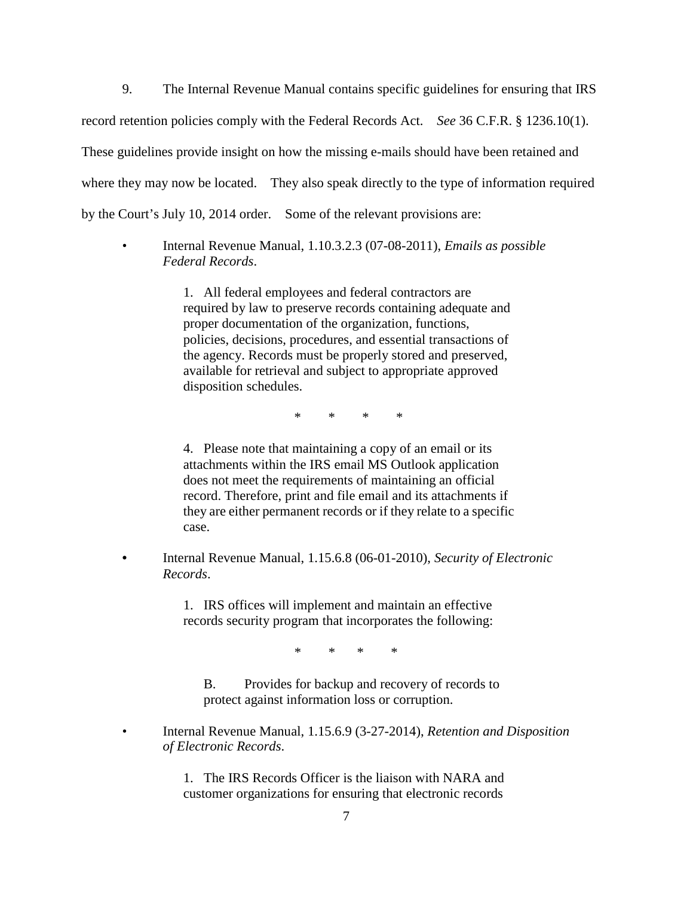9. The Internal Revenue Manual contains specific guidelines for ensuring that IRS record retention policies comply with the Federal Records Act. *See* 36 C.F.R. § 1236.10(1). These guidelines provide insight on how the missing e-mails should have been retained and where they may now be located. They also speak directly to the type of information required by the Court's July 10, 2014 order. Some of the relevant provisions are:

• Internal Revenue Manual, 1.10.3.2.3 (07-08-2011), *Emails as possible Federal Records*.

> 1. All federal employees and federal contractors are required by law to preserve records containing adequate and proper documentation of the organization, functions, policies, decisions, procedures, and essential transactions of the agency. Records must be properly stored and preserved, available for retrieval and subject to appropriate approved disposition schedules.

> > \* \* \* \*

4. Please note that maintaining a copy of an email or its attachments within the IRS email MS Outlook application does not meet the requirements of maintaining an official record. Therefore, print and file email and its attachments if they are either permanent records or if they relate to a specific case.

**•** Internal Revenue Manual, 1.15.6.8 (06-01-2010), *Security of Electronic Records*.

> 1. IRS offices will implement and maintain an effective records security program that incorporates the following:

> > \* \* \* \*

B. Provides for backup and recovery of records to protect against information loss or corruption.

• Internal Revenue Manual, 1.15.6.9 (3-27-2014), *Retention and Disposition of Electronic Records*.

> 1. The IRS Records Officer is the liaison with NARA and customer organizations for ensuring that electronic records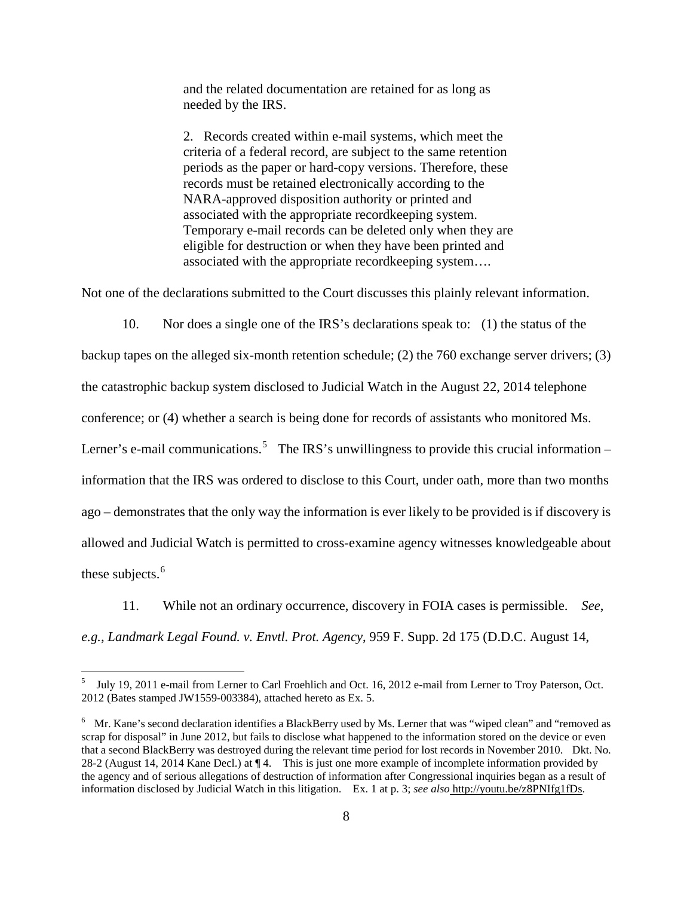and the related documentation are retained for as long as needed by the IRS.

2. Records created within e-mail systems, which meet the criteria of a federal record, are subject to the same retention periods as the paper or hard-copy versions. Therefore, these records must be retained electronically according to the NARA-approved disposition authority or printed and associated with the appropriate recordkeeping system. Temporary e-mail records can be deleted only when they are eligible for destruction or when they have been printed and associated with the appropriate recordkeeping system….

Not one of the declarations submitted to the Court discusses this plainly relevant information.

10. Nor does a single one of the IRS's declarations speak to: (1) the status of the

backup tapes on the alleged six-month retention schedule; (2) the 760 exchange server drivers; (3) the catastrophic backup system disclosed to Judicial Watch in the August 22, 2014 telephone conference; or (4) whether a search is being done for records of assistants who monitored Ms. Lerner's e-mail communications.<sup>[5](#page-7-0)</sup> The IRS's unwillingness to provide this crucial information – information that the IRS was ordered to disclose to this Court, under oath, more than two months ago – demonstrates that the only way the information is ever likely to be provided is if discovery is allowed and Judicial Watch is permitted to cross-examine agency witnesses knowledgeable about these subjects.<sup>[6](#page-7-1)</sup>

11. While not an ordinary occurrence, discovery in FOIA cases is permissible. *See*, *e.g.*, *Landmark Legal Found. v. Envtl. Prot. Agency*, 959 F. Supp. 2d 175 (D.D.C. August 14,

<span id="page-7-0"></span><sup>5</sup> July 19, 2011 e-mail from Lerner to Carl Froehlich and Oct. 16, 2012 e-mail from Lerner to Troy Paterson, Oct. 2012 (Bates stamped JW1559-003384), attached hereto as Ex. 5.

<span id="page-7-1"></span><sup>&</sup>lt;sup>6</sup> Mr. Kane's second declaration identifies a BlackBerry used by Ms. Lerner that was "wiped clean" and "removed as scrap for disposal" in June 2012, but fails to disclose what happened to the information stored on the device or even that a second BlackBerry was destroyed during the relevant time period for lost records in November 2010. Dkt. No. 28-2 (August 14, 2014 Kane Decl.) at ¶ 4. This is just one more example of incomplete information provided by the agency and of serious allegations of destruction of information after Congressional inquiries began as a result of information disclosed by Judicial Watch in this litigation. Ex. 1 at p. 3; *see also* [http://youtu.be/z8PNIfg1fDs.](http://youtu.be/z8PNIfg1fDs)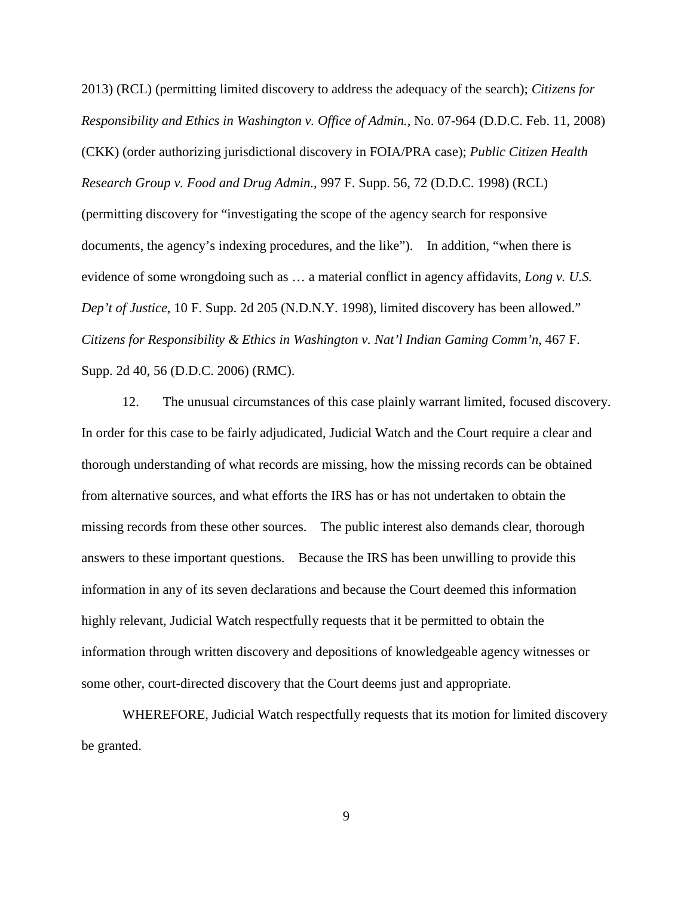2013) (RCL) (permitting limited discovery to address the adequacy of the search); *Citizens for Responsibility and Ethics in Washington v. Office of Admin.*, No. 07-964 (D.D.C. Feb. 11, 2008) (CKK) (order authorizing jurisdictional discovery in FOIA/PRA case); *Public Citizen Health Research Group v. Food and Drug Admin.*, 997 F. Supp. 56, 72 (D.D.C. 1998) (RCL) (permitting discovery for "investigating the scope of the agency search for responsive documents, the agency's indexing procedures, and the like"). In addition, "when there is evidence of some wrongdoing such as … a material conflict in agency affidavits, *Long v. U.S. Dep't of Justice*, 10 F. Supp. 2d 205 (N.D.N.Y. 1998), limited discovery has been allowed." *Citizens for Responsibility & Ethics in Washington v. Nat'l Indian Gaming Comm'n*, 467 F. Supp. 2d 40, 56 (D.D.C. 2006) (RMC).

12. The unusual circumstances of this case plainly warrant limited, focused discovery. In order for this case to be fairly adjudicated, Judicial Watch and the Court require a clear and thorough understanding of what records are missing, how the missing records can be obtained from alternative sources, and what efforts the IRS has or has not undertaken to obtain the missing records from these other sources. The public interest also demands clear, thorough answers to these important questions. Because the IRS has been unwilling to provide this information in any of its seven declarations and because the Court deemed this information highly relevant, Judicial Watch respectfully requests that it be permitted to obtain the information through written discovery and depositions of knowledgeable agency witnesses or some other, court-directed discovery that the Court deems just and appropriate.

WHEREFORE, Judicial Watch respectfully requests that its motion for limited discovery be granted.

9